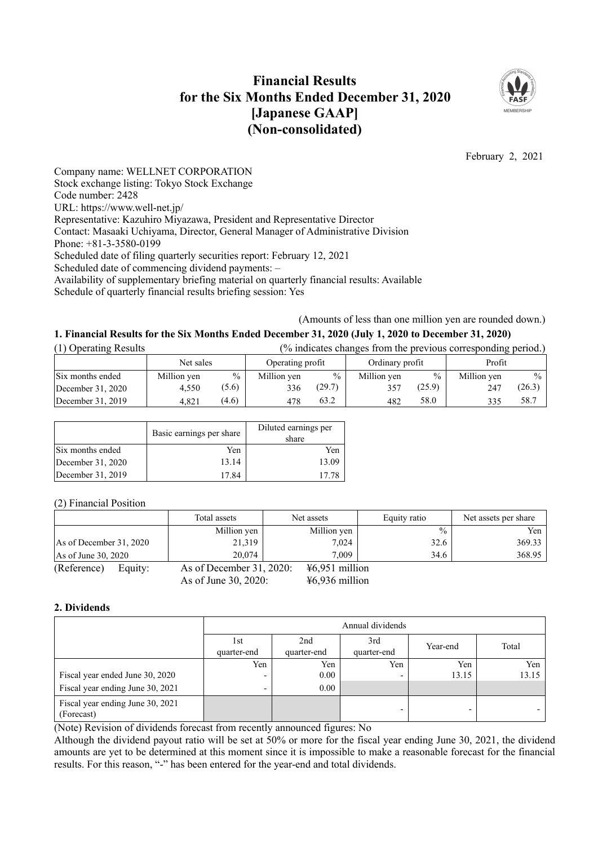# **Financial Results for the Six Months Ended December 31, 2020 [Japanese GAAP] (Non-consolidated)**



February 2, 2021

Company name: WELLNET CORPORATION Stock exchange listing: Tokyo Stock Exchange Code number: 2428 URL: https://www.well-net.jp/ Representative: Kazuhiro Miyazawa, President and Representative Director Contact: Masaaki Uchiyama, Director, General Manager of Administrative Division Phone: +81-3-3580-0199 Scheduled date of filing quarterly securities report: February 12, 2021 Scheduled date of commencing dividend payments: – Availability of supplementary briefing material on quarterly financial results: Available Schedule of quarterly financial results briefing session: Yes

(Amounts of less than one million yen are rounded down.)

# 1. Financial Results for the Six Months Ended December 31, 2020 (July 1, 2020 to December 31, 2020)

| (1) Operating Results | (% indicates changes from the previous corresponding period.) |       |                  |               |                 |        |             |               |
|-----------------------|---------------------------------------------------------------|-------|------------------|---------------|-----------------|--------|-------------|---------------|
|                       | Net sales                                                     |       | Operating profit |               | Ordinary profit |        | Profit      |               |
| Six months ended      | Million yen                                                   | $\%$  | Million yen      | $\frac{0}{0}$ | Million yen     | $\%$   | Million yen | $\frac{0}{0}$ |
| December 31, 2020     | 4.550                                                         | (5.6) | 336              | (29.7)        | 357             | (25.9) | 247         | (26.3)        |
| December 31, 2019     | 4.821                                                         | (4.6) | 478              | 63.2          | 482             | 58.0   | 335         | 58.7          |

|                   | Basic earnings per share | Diluted earnings per<br>share |
|-------------------|--------------------------|-------------------------------|
| Six months ended  | Yen                      | Yen                           |
| December 31, 2020 | 13.14                    | 13.09                         |
| December 31, 2019 | 17.84                    | 17.78                         |

(2) Financial Position

|                         |         | Total assets             | Net assets       | Equity ratio  | Net assets per share |
|-------------------------|---------|--------------------------|------------------|---------------|----------------------|
|                         |         | Million yen              | Million yen      | $\frac{0}{0}$ | Yen                  |
| As of December 31, 2020 |         | 21,319                   | 7,024            | 32.6          | 369.33               |
| As of June $30, 2020$   |         | 20,074                   | 7.009            | 34.6          | 368.95               |
| (Reference)             | Equity: | As of December 31, 2020: | $46,951$ million |               |                      |
|                         |         | As of June 30, 2020:     | $46,936$ million |               |                      |

### **2. Dividends**

|                                                | Annual dividends         |                    |                          |          |       |
|------------------------------------------------|--------------------------|--------------------|--------------------------|----------|-------|
|                                                | 1st<br>quarter-end       | 2nd<br>quarter-end | 3rd<br>quarter-end       | Year-end | Total |
|                                                | Yen                      | Yen                | Yen                      | Yen      | Yen   |
| Fiscal year ended June 30, 2020                | $\overline{\phantom{0}}$ | 0.00               |                          | 13.15    | 13.15 |
| Fiscal year ending June 30, 2021               | ۰                        | 0.00               |                          |          |       |
| Fiscal year ending June 30, 2021<br>(Forecast) |                          |                    | $\overline{\phantom{0}}$ | -        |       |

(Note) Revision of dividends forecast from recently announced figures: No

Although the dividend payout ratio will be set at 50% or more for the fiscal year ending June 30, 2021, the dividend amounts are yet to be determined at this moment since it is impossible to make a reasonable forecast for the financial results. For this reason, "-" has been entered for the year-end and total dividends.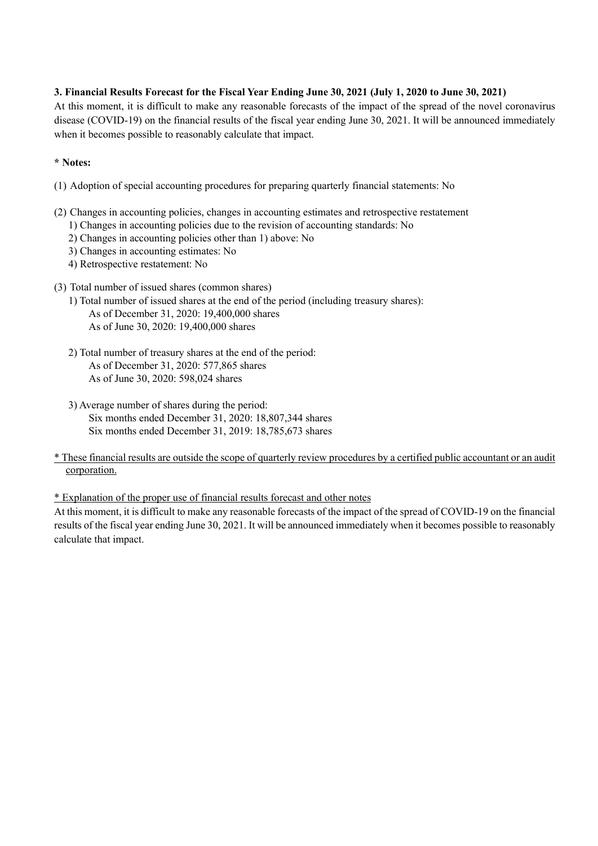# 3. Financial Results Forecast for the Fiscal Year Ending June 30, 2021 (July 1, 2020 to June 30, 2021)

At this moment, it is difficult to make any reasonable forecasts of the impact of the spread of the novel coronavirus disease (COVID-19) on the financial results of the fiscal year ending June 30, 2021. It will be announced immediately when it becomes possible to reasonably calculate that impact.

## **\* Notes:**

- (1) Adoption of special accounting procedures for preparing quarterly financial statements: No
- (2) Changes in accounting policies, changes in accounting estimates and retrospective restatement
	- 1) Changes in accounting policies due to the revision of accounting standards: No
	- 2) Changes in accounting policies other than 1) above: No
	- 3) Changes in accounting estimates: No
	- 4) Retrospective restatement: No
- (3) Total number of issued shares (common shares)
	- 1) Total number of issued shares at the end of the period (including treasury shares): As of December 31, 2020: 19,400,000 shares As of June 30, 2020: 19,400,000 shares
	- 2) Total number of treasury shares at the end of the period: As of December 31, 2020: 577,865 shares As of June 30, 2020: 598,024 shares
	- 3) Average number of shares during the period: Six months ended December 31, 2020: 18,807,344 shares Six months ended December 31, 2019: 18,785,673 shares
- \* These financial results are outside the scope of quarterly review procedures by a certified public accountant or an audit corporation.

\* Explanation of the proper use of financial results forecast and other notes

At this moment, it is difficult to make any reasonable forecasts of the impact of the spread of COVID-19 on the financial results of the fiscal year ending June 30, 2021. It will be announced immediately when it becomes possible to reasonably calculate that impact.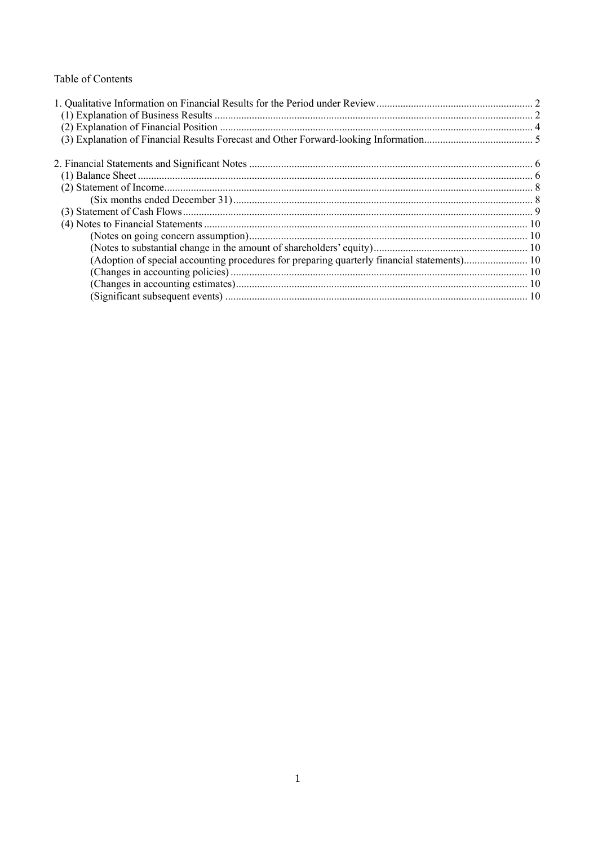# Table of Contents

| (Adoption of special accounting procedures for preparing quarterly financial statements) 10 |  |
|---------------------------------------------------------------------------------------------|--|
|                                                                                             |  |
|                                                                                             |  |
|                                                                                             |  |
|                                                                                             |  |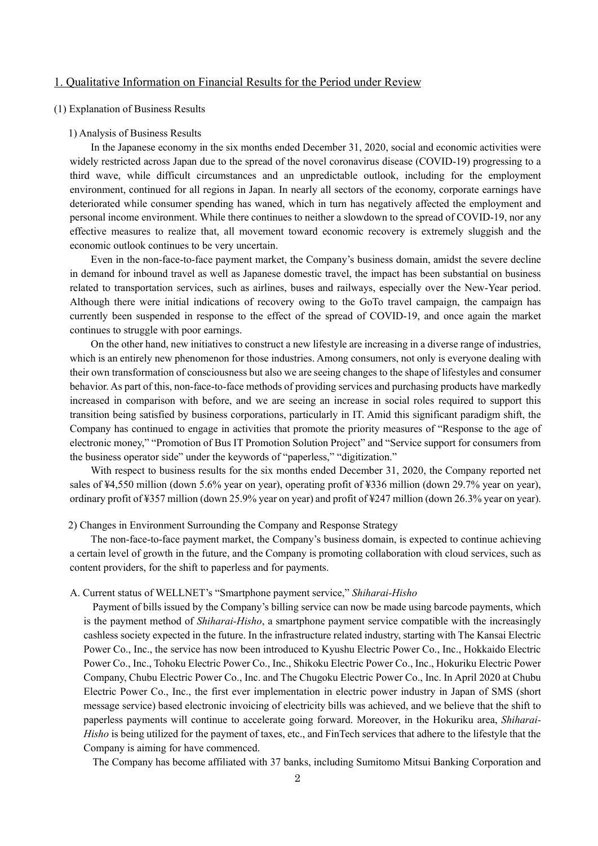### 1. Qualitative Information on Financial Results for the Period under Review

#### (1) Explanation of Business Results

#### 1) Analysis of Business Results

In the Japanese economy in the six months ended December 31, 2020, social and economic activities were widely restricted across Japan due to the spread of the novel coronavirus disease (COVID-19) progressing to a third wave, while difficult circumstances and an unpredictable outlook, including for the employment environment, continued for all regions in Japan. In nearly all sectors of the economy, corporate earnings have deteriorated while consumer spending has waned, which in turn has negatively affected the employment and personal income environment. While there continues to neither a slowdown to the spread of COVID-19, nor any effective measures to realize that, all movement toward economic recovery is extremely sluggish and the economic outlook continues to be very uncertain.

Even in the non-face-to-face payment market, the Company's business domain, amidst the severe decline in demand for inbound travel as well as Japanese domestic travel, the impact has been substantial on business related to transportation services, such as airlines, buses and railways, especially over the New-Year period. Although there were initial indications of recovery owing to the GoTo travel campaign, the campaign has currently been suspended in response to the effect of the spread of COVID-19, and once again the market continues to struggle with poor earnings.

On the other hand, new initiatives to construct a new lifestyle are increasing in a diverse range of industries, which is an entirely new phenomenon for those industries. Among consumers, not only is everyone dealing with their own transformation of consciousness but also we are seeing changes to the shape of lifestyles and consumer behavior. As part of this, non-face-to-face methods of providing services and purchasing products have markedly increased in comparison with before, and we are seeing an increase in social roles required to support this transition being satisfied by business corporations, particularly in IT. Amid this significant paradigm shift, the Company has continued to engage in activities that promote the priority measures of "Response to the age of electronic money," "Promotion of Bus IT Promotion Solution Project" and "Service support for consumers from the business operator side" under the keywords of "paperless," "digitization."

With respect to business results for the six months ended December 31, 2020, the Company reported net sales of ¥4,550 million (down 5.6% year on year), operating profit of ¥336 million (down 29.7% year on year), ordinary profit of ¥357 million (down 25.9% year on year) and profit of ¥247 million (down 26.3% year on year).

2) Changes in Environment Surrounding the Company and Response Strategy

The non-face-to-face payment market, the Company's business domain, is expected to continue achieving a certain level of growth in the future, and the Company is promoting collaboration with cloud services, such as content providers, for the shift to paperless and for payments.

#### A. Current status of WELLNET's "Smartphone payment service," *Shiharai-Hisho*

Payment of bills issued by the Company's billing service can now be made using barcode payments, which is the payment method of *Shiharai-Hisho*, a smartphone payment service compatible with the increasingly cashless society expected in the future. In the infrastructure related industry, starting with The Kansai Electric Power Co., Inc., the service has now been introduced to Kyushu Electric Power Co., Inc., Hokkaido Electric Power Co., Inc., Tohoku Electric Power Co., Inc., Shikoku Electric Power Co., Inc., Hokuriku Electric Power Company, Chubu Electric Power Co., Inc. and The Chugoku Electric Power Co., Inc. In April 2020 at Chubu Electric Power Co., Inc., the first ever implementation in electric power industry in Japan of SMS (short message service) based electronic invoicing of electricity bills was achieved, and we believe that the shift to paperless payments will continue to accelerate going forward. Moreover, in the Hokuriku area, *Shiharai-Hisho* is being utilized for the payment of taxes, etc., and FinTech services that adhere to the lifestyle that the Company is aiming for have commenced.

The Company has become affiliated with 37 banks, including Sumitomo Mitsui Banking Corporation and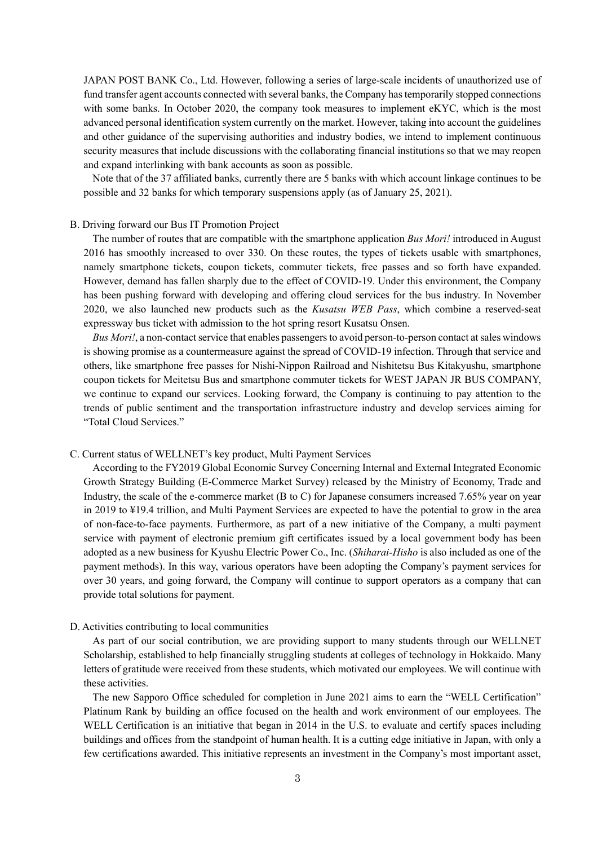JAPAN POST BANK Co., Ltd. However, following a series of large-scale incidents of unauthorized use of fund transfer agent accounts connected with several banks, the Company hastemporarily stopped connections with some banks. In October 2020, the company took measures to implement eKYC, which is the most advanced personal identification system currently on the market. However, taking into account the guidelines and other guidance of the supervising authorities and industry bodies, we intend to implement continuous security measures that include discussions with the collaborating financial institutions so that we may reopen and expand interlinking with bank accounts as soon as possible.

Note that of the 37 affiliated banks, currently there are 5 banks with which account linkage continues to be possible and 32 banks for which temporary suspensions apply (as of January 25, 2021).

#### B. Driving forward our Bus IT Promotion Project

The number of routes that are compatible with the smartphone application *Bus Mori!* introduced in August 2016 has smoothly increased to over 330. On these routes, the types of tickets usable with smartphones, namely smartphone tickets, coupon tickets, commuter tickets, free passes and so forth have expanded. However, demand has fallen sharply due to the effect of COVID-19. Under this environment, the Company has been pushing forward with developing and offering cloud services for the bus industry. In November 2020, we also launched new products such as the *Kusatsu WEB Pass*, which combine a reserved-seat expressway bus ticket with admission to the hot spring resort Kusatsu Onsen.

*Bus Mori!*, a non-contact service that enables passengers to avoid person-to-person contact at sales windows is showing promise as a countermeasure against the spread of COVID-19 infection. Through that service and others, like smartphone free passes for Nishi-Nippon Railroad and Nishitetsu Bus Kitakyushu, smartphone coupon tickets for Meitetsu Bus and smartphone commuter tickets for WEST JAPAN JR BUS COMPANY, we continue to expand our services. Looking forward, the Company is continuing to pay attention to the trends of public sentiment and the transportation infrastructure industry and develop services aiming for "Total Cloud Services."

#### C. Current status of WELLNET's key product, Multi Payment Services

According to the FY2019 Global Economic Survey Concerning Internal and External Integrated Economic Growth Strategy Building (E-Commerce Market Survey) released by the Ministry of Economy, Trade and Industry, the scale of the e-commerce market (B to C) for Japanese consumers increased 7.65% year on year in 2019 to ¥19.4 trillion, and Multi Payment Services are expected to have the potential to grow in the area of non-face-to-face payments. Furthermore, as part of a new initiative of the Company, a multi payment service with payment of electronic premium gift certificates issued by a local government body has been adopted as a new business for Kyushu Electric Power Co., Inc. (*Shiharai-Hisho* is also included as one of the payment methods). In this way, various operators have been adopting the Company's payment services for over 30 years, and going forward, the Company will continue to support operators as a company that can provide total solutions for payment.

#### D. Activities contributing to local communities

As part of our social contribution, we are providing support to many students through our WELLNET Scholarship, established to help financially struggling students at colleges of technology in Hokkaido. Many letters of gratitude were received from these students, which motivated our employees. We will continue with these activities.

The new Sapporo Office scheduled for completion in June 2021 aims to earn the "WELL Certification" Platinum Rank by building an office focused on the health and work environment of our employees. The WELL Certification is an initiative that began in 2014 in the U.S. to evaluate and certify spaces including buildings and offices from the standpoint of human health. It is a cutting edge initiative in Japan, with only a few certifications awarded. This initiative represents an investment in the Company's most important asset,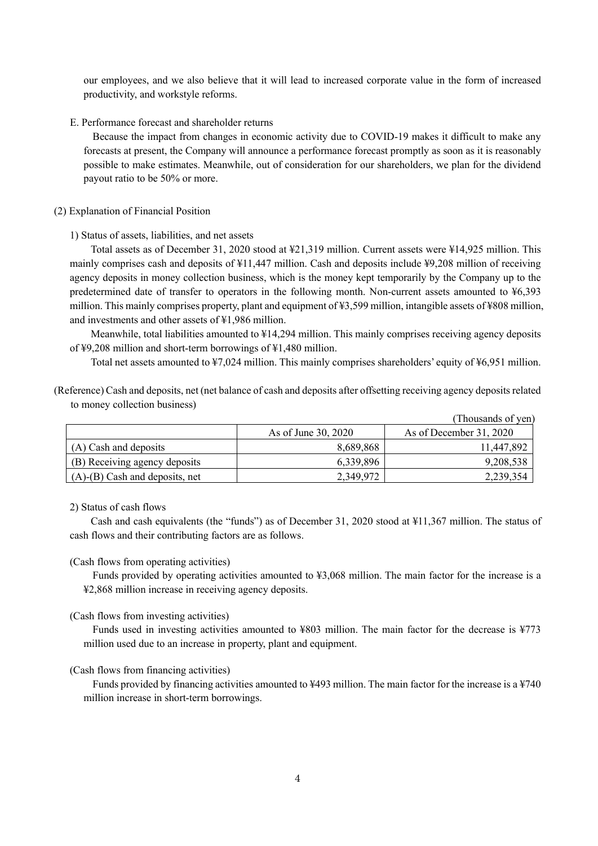our employees, and we also believe that it will lead to increased corporate value in the form of increased productivity, and workstyle reforms.

E. Performance forecast and shareholder returns

Because the impact from changes in economic activity due to COVID-19 makes it difficult to make any forecasts at present, the Company will announce a performance forecast promptly as soon as it is reasonably possible to make estimates. Meanwhile, out of consideration for our shareholders, we plan for the dividend payout ratio to be 50% or more.

#### (2) Explanation of Financial Position

#### 1) Status of assets, liabilities, and net assets

Total assets as of December 31, 2020 stood at ¥21,319 million. Current assets were ¥14,925 million. This mainly comprises cash and deposits of ¥11,447 million. Cash and deposits include ¥9,208 million of receiving agency deposits in money collection business, which is the money kept temporarily by the Company up to the predetermined date of transfer to operators in the following month. Non-current assets amounted to ¥6,393 million. This mainly comprises property, plant and equipment of ¥3,599 million, intangible assets of ¥808 million, and investments and other assets of ¥1,986 million.

Meanwhile, total liabilities amounted to ¥14,294 million. This mainly comprises receiving agency deposits of ¥9,208 million and short-term borrowings of ¥1,480 million.

Total net assets amounted to ¥7,024 million. This mainly comprises shareholders' equity of ¥6,951 million.

(Reference) Cash and deposits, net (net balance of cash and deposits after offsetting receiving agency deposits related to money collection business)

|                                      |                     | (Thousands of yen)      |
|--------------------------------------|---------------------|-------------------------|
|                                      | As of June 30, 2020 | As of December 31, 2020 |
| (A) Cash and deposits                | 8,689,868           | 11,447,892              |
| (B) Receiving agency deposits        | 6.339.896           | 9,208,538               |
| $(A)$ - $(B)$ Cash and deposits, net | 2,349,972           | 2,239,354               |

#### 2) Status of cash flows

Cash and cash equivalents (the "funds") as of December 31, 2020 stood at ¥11,367 million. The status of cash flows and their contributing factors are as follows.

#### (Cash flows from operating activities)

Funds provided by operating activities amounted to ¥3,068 million. The main factor for the increase is a ¥2,868 million increase in receiving agency deposits.

#### (Cash flows from investing activities)

Funds used in investing activities amounted to ¥803 million. The main factor for the decrease is ¥773 million used due to an increase in property, plant and equipment.

#### (Cash flows from financing activities)

Funds provided by financing activities amounted to ¥493 million. The main factor for the increase is a ¥740 million increase in short-term borrowings.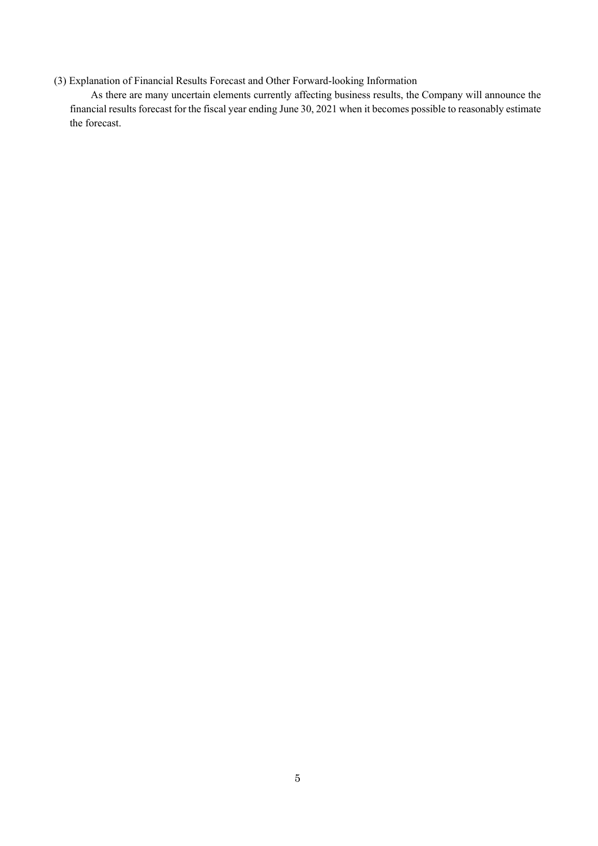# (3) Explanation of Financial Results Forecast and Other Forward-looking Information

As there are many uncertain elements currently affecting business results, the Company will announce the financial results forecast for the fiscal year ending June 30, 2021 when it becomes possible to reasonably estimate the forecast.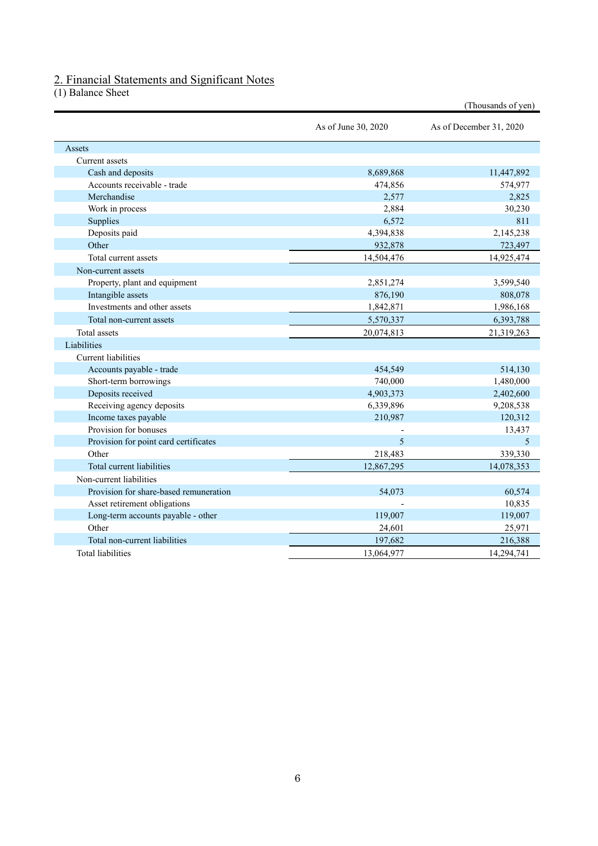### 2. Financial Statements and Significant Notes

(1) Balance Sheet

|                                        |                     | (Thousands of yen)      |
|----------------------------------------|---------------------|-------------------------|
|                                        | As of June 30, 2020 | As of December 31, 2020 |
| Assets                                 |                     |                         |
| Current assets                         |                     |                         |
| Cash and deposits                      | 8,689,868           | 11,447,892              |
| Accounts receivable - trade            | 474,856             | 574,977                 |
| Merchandise                            | 2,577               | 2,825                   |
| Work in process                        | 2,884               | 30,230                  |
| Supplies                               | 6,572               | 811                     |
| Deposits paid                          | 4,394,838           | 2,145,238               |
| Other                                  | 932,878             | 723,497                 |
| Total current assets                   | 14,504,476          | 14,925,474              |
| Non-current assets                     |                     |                         |
| Property, plant and equipment          | 2,851,274           | 3,599,540               |
| Intangible assets                      | 876,190             | 808,078                 |
| Investments and other assets           | 1,842,871           | 1,986,168               |
| Total non-current assets               | 5,570,337           | 6,393,788               |
| <b>Total</b> assets                    | 20,074,813          | 21,319,263              |
| Liabilities                            |                     |                         |
| Current liabilities                    |                     |                         |
| Accounts payable - trade               | 454,549             | 514,130                 |
| Short-term borrowings                  | 740,000             | 1,480,000               |
| Deposits received                      | 4,903,373           | 2,402,600               |
| Receiving agency deposits              | 6,339,896           | 9,208,538               |
| Income taxes payable                   | 210,987             | 120,312                 |
| Provision for bonuses                  |                     | 13,437                  |
| Provision for point card certificates  | 5                   | 5                       |
| Other                                  | 218,483             | 339,330                 |
| Total current liabilities              | 12,867,295          | 14,078,353              |
| Non-current liabilities                |                     |                         |
| Provision for share-based remuneration | 54,073              | 60,574                  |
| Asset retirement obligations           |                     | 10,835                  |
| Long-term accounts payable - other     | 119,007             | 119,007                 |
| Other                                  | 24,601              | 25,971                  |
| Total non-current liabilities          | 197,682             | 216,388                 |
| <b>Total liabilities</b>               | 13,064,977          | 14,294,741              |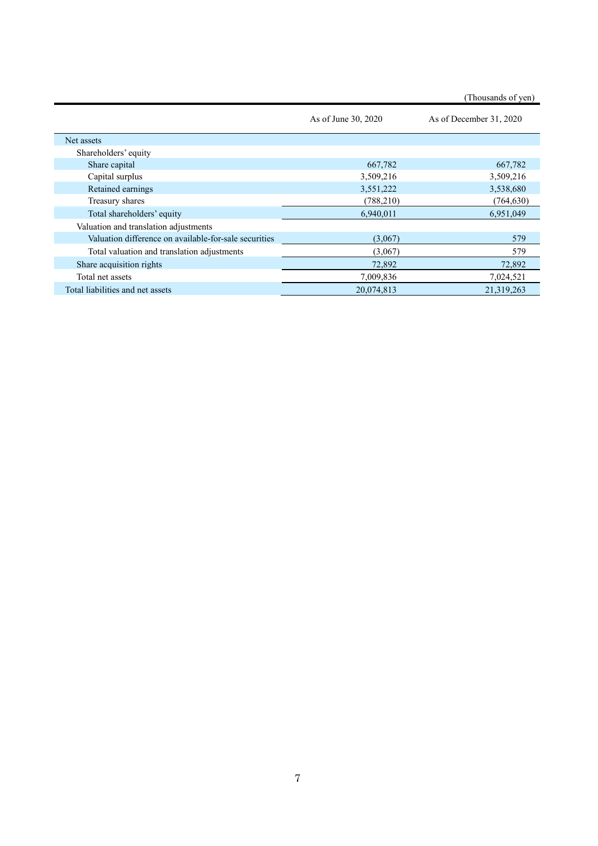|                                                       | As of June 30, 2020 | As of December 31, 2020 |
|-------------------------------------------------------|---------------------|-------------------------|
| Net assets                                            |                     |                         |
| Shareholders' equity                                  |                     |                         |
| Share capital                                         | 667,782             | 667,782                 |
| Capital surplus                                       | 3,509,216           | 3,509,216               |
| Retained earnings                                     | 3,551,222           | 3,538,680               |
| Treasury shares                                       | (788, 210)          | (764, 630)              |
| Total shareholders' equity                            | 6,940,011           | 6,951,049               |
| Valuation and translation adjustments                 |                     |                         |
| Valuation difference on available-for-sale securities | (3,067)             | 579                     |
| Total valuation and translation adjustments           | (3,067)             | 579                     |
| Share acquisition rights                              | 72,892              | 72,892                  |
| Total net assets                                      | 7,009,836           | 7,024,521               |
| Total liabilities and net assets                      | 20,074,813          | 21,319,263              |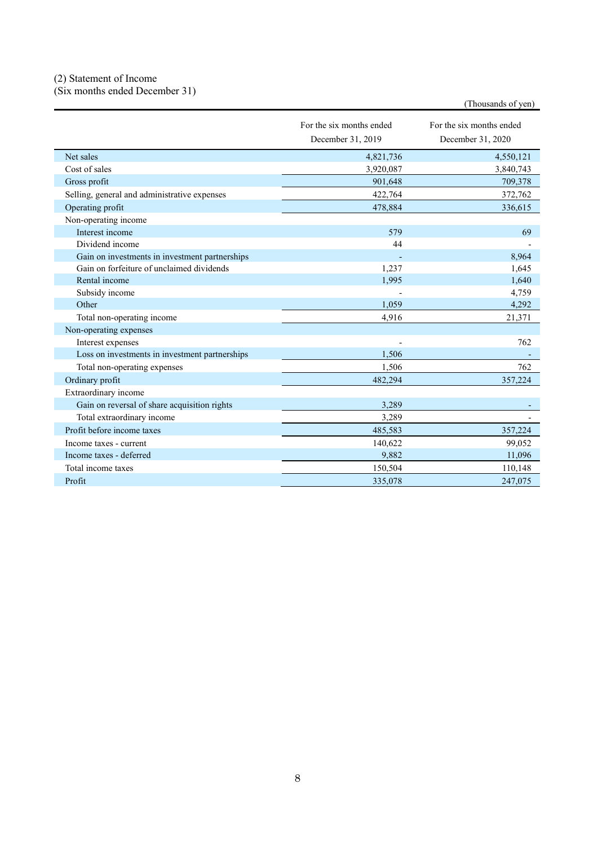### (2) Statement of Income

(Six months ended December 31)

|                                                |                                               | (Thousands of yen)                            |
|------------------------------------------------|-----------------------------------------------|-----------------------------------------------|
|                                                | For the six months ended<br>December 31, 2019 | For the six months ended<br>December 31, 2020 |
| Net sales                                      | 4,821,736                                     | 4,550,121                                     |
| Cost of sales                                  | 3,920,087                                     | 3,840,743                                     |
| Gross profit                                   | 901,648                                       | 709,378                                       |
| Selling, general and administrative expenses   | 422,764                                       | 372,762                                       |
| Operating profit                               | 478,884                                       | 336,615                                       |
| Non-operating income                           |                                               |                                               |
| Interest income                                | 579                                           | 69                                            |
| Dividend income                                | 44                                            |                                               |
| Gain on investments in investment partnerships |                                               | 8,964                                         |
| Gain on forfeiture of unclaimed dividends      | 1,237                                         | 1,645                                         |
| Rental income                                  | 1,995                                         | 1.640                                         |
| Subsidy income                                 |                                               | 4,759                                         |
| Other                                          | 1.059                                         | 4,292                                         |
| Total non-operating income                     | 4,916                                         | 21,371                                        |
| Non-operating expenses                         |                                               |                                               |
| Interest expenses                              |                                               | 762                                           |
| Loss on investments in investment partnerships | 1,506                                         |                                               |
| Total non-operating expenses                   | 1,506                                         | 762                                           |
| Ordinary profit                                | 482,294                                       | 357,224                                       |
| Extraordinary income                           |                                               |                                               |
| Gain on reversal of share acquisition rights   | 3.289                                         |                                               |
| Total extraordinary income                     | 3,289                                         |                                               |
| Profit before income taxes                     | 485,583                                       | 357,224                                       |
| Income taxes - current                         | 140,622                                       | 99,052                                        |
| Income taxes - deferred                        | 9,882                                         | 11,096                                        |
| Total income taxes                             | 150,504                                       | 110,148                                       |
| Profit                                         | 335,078                                       | 247,075                                       |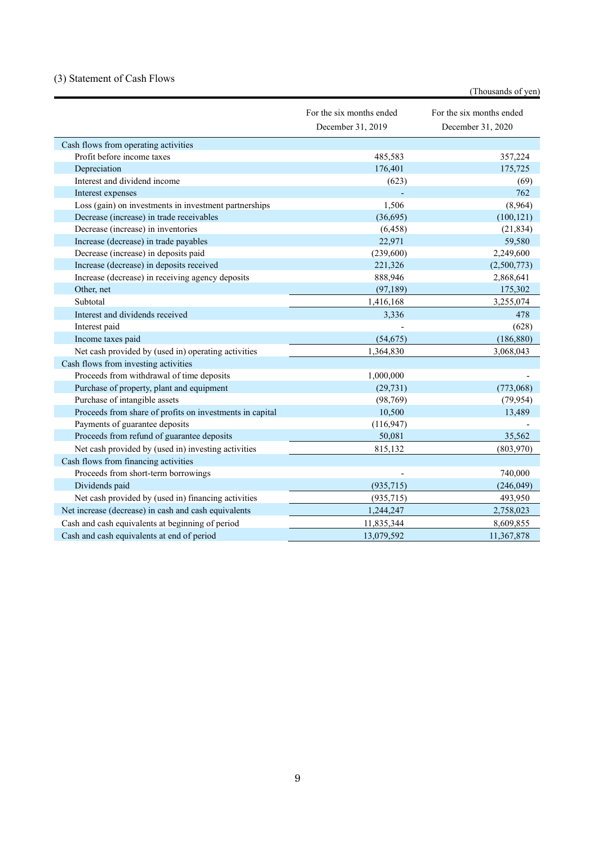# (3) Statement of Cash Flows

|                                                          |                                               | (Thousands of yen)                            |
|----------------------------------------------------------|-----------------------------------------------|-----------------------------------------------|
|                                                          | For the six months ended<br>December 31, 2019 | For the six months ended<br>December 31, 2020 |
| Cash flows from operating activities                     |                                               |                                               |
| Profit before income taxes                               | 485,583                                       | 357,224                                       |
| Depreciation                                             | 176,401                                       | 175,725                                       |
| Interest and dividend income                             | (623)                                         | (69)                                          |
| Interest expenses                                        |                                               | 762                                           |
| Loss (gain) on investments in investment partnerships    | 1,506                                         | (8,964)                                       |
| Decrease (increase) in trade receivables                 | (36,695)                                      | (100, 121)                                    |
| Decrease (increase) in inventories                       | (6, 458)                                      | (21, 834)                                     |
| Increase (decrease) in trade payables                    | 22,971                                        | 59,580                                        |
| Decrease (increase) in deposits paid                     | (239,600)                                     | 2,249,600                                     |
| Increase (decrease) in deposits received                 | 221,326                                       | (2,500,773)                                   |
| Increase (decrease) in receiving agency deposits         | 888,946                                       | 2,868,641                                     |
| Other, net                                               | (97, 189)                                     | 175,302                                       |
| Subtotal                                                 | 1,416,168                                     | 3,255,074                                     |
| Interest and dividends received                          | 3,336                                         | 478                                           |
| Interest paid                                            |                                               | (628)                                         |
| Income taxes paid                                        | (54, 675)                                     | (186, 880)                                    |
| Net cash provided by (used in) operating activities      | 1,364,830                                     | 3,068,043                                     |
| Cash flows from investing activities                     |                                               |                                               |
| Proceeds from withdrawal of time deposits                | 1,000,000                                     |                                               |
| Purchase of property, plant and equipment                | (29, 731)                                     | (773,068)                                     |
| Purchase of intangible assets                            | (98, 769)                                     | (79, 954)                                     |
| Proceeds from share of profits on investments in capital | 10,500                                        | 13,489                                        |
| Payments of guarantee deposits                           | (116, 947)                                    |                                               |
| Proceeds from refund of guarantee deposits               | 50,081                                        | 35,562                                        |
| Net cash provided by (used in) investing activities      | 815,132                                       | (803,970)                                     |
| Cash flows from financing activities                     |                                               |                                               |
| Proceeds from short-term borrowings                      |                                               | 740,000                                       |
| Dividends paid                                           | (935, 715)                                    | (246, 049)                                    |
| Net cash provided by (used in) financing activities      | (935, 715)                                    | 493,950                                       |
| Net increase (decrease) in cash and cash equivalents     | 1,244,247                                     | 2,758,023                                     |
| Cash and cash equivalents at beginning of period         | 11,835,344                                    | 8,609,855                                     |
| Cash and cash equivalents at end of period               | 13,079,592                                    | 11,367,878                                    |